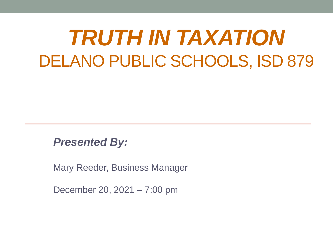# *TRUTH IN TAXATION* DELANO PUBLIC SCHOOLS, ISD 879

*Presented By:*

Mary Reeder, Business Manager

December 20, 2021 – 7:00 pm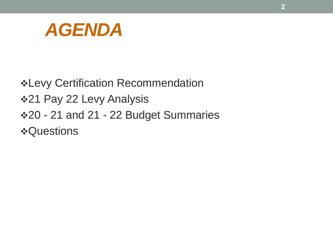

❖Levy Certification Recommendation ❖21 Pay 22 Levy Analysis ❖20 - 21 and 21 - 22 Budget Summaries ❖Questions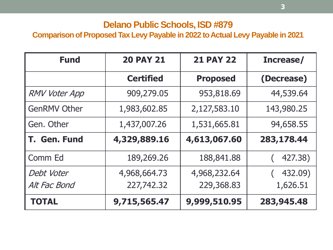#### **Delano Public Schools, ISD #879**

#### **Comparison of Proposed Tax Levy Payable in 2022 to Actual Levy Payable in 2021**

| <b>Fund</b>          | <b>20 PAY 21</b> | <b>21 PAY 22</b> | Increase/  |  |
|----------------------|------------------|------------------|------------|--|
|                      | <b>Certified</b> | <b>Proposed</b>  | (Decrease) |  |
| <b>RMV Voter App</b> | 909,279.05       | 953,818.69       | 44,539.64  |  |
| <b>GenRMV Other</b>  | 1,983,602.85     | 2,127,583.10     | 143,980.25 |  |
| Gen. Other           | 1,437,007.26     | 1,531,665.81     | 94,658.55  |  |
| T. Gen. Fund         | 4,329,889.16     | 4,613,067.60     | 283,178.44 |  |
| Comm Ed              | 189,269.26       | 188,841.88       | 427.38)    |  |
| Debt Voter           | 4,968,664.73     | 4,968,232.64     | 432.09)    |  |
| Alt Fac Bond         | 227,742.32       | 229,368.83       | 1,626.51   |  |
| <b>TOTAL</b>         | 9,715,565.47     | 9,999,510.95     | 283,945.48 |  |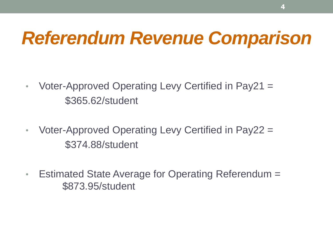# *Referendum Revenue Comparison*

- Voter-Approved Operating Levy Certified in Pay21 = \$365.62/student
- Voter-Approved Operating Levy Certified in Pay22 = \$374.88/student
- Estimated State Average for Operating Referendum = \$873.95/student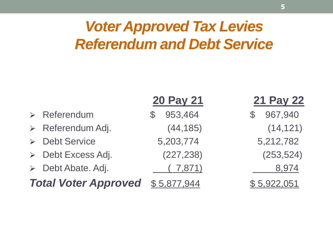### *Voter Approved Tax Levies Referendum and Debt Service*

| Referendum |
|------------|
|            |

- ➢ Referendum Adj. (44,185) (14,121)
- ➢ Debt Service 5,203,774 5,212,782
- ➢ Debt Excess Adj. (227,238) (253,524)
- ➢ Debt Abate. Adj. ( 7,871) 8,974

#### **Total Voter Approved** \$5,877,944 \$5,922,051

#### **20 Pay 21 21 Pay 22**

 $$953,464$   $$967,940$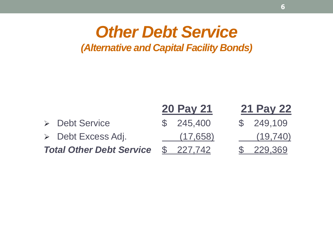#### *Other Debt Service (Alternative and Capital Facility Bonds)*

|  |                                   | <b>20 Pay 21</b> |           | <b>21 Pay 22</b> |  |
|--|-----------------------------------|------------------|-----------|------------------|--|
|  | > Debt Service                    |                  | \$245,400 | \$249,109        |  |
|  | $\triangleright$ Debt Excess Adj. |                  | (17, 658) | (19, 740)        |  |
|  | <b>Total Other Debt Service</b>   |                  | \$227.742 | \$229.369        |  |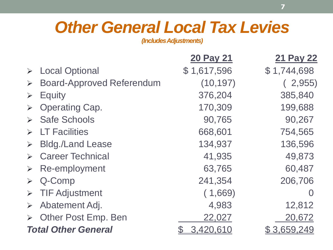## *Other General Local Tax Levies*

*(Includes Adjustments)*

| \$1,617,596<br>\$1,744,698 |
|----------------------------|
|                            |
| (10, 197)<br>2,955         |
| 376,204<br>385,840         |
| 170,309<br>199,688         |
| 90,267<br>90,765           |
| 668,601<br>754,565         |
| 134,937<br>136,596         |
| 41,935<br>49,873           |
| 60,487<br>63,765           |
| 241,354<br>206,706         |
| (1,669)                    |
| 4,983<br>12,812            |
| 22,027<br>20,672           |
|                            |
|                            |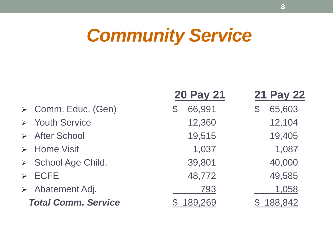# *Community Service*

|                                 | <b>20 Pay 21</b>        | <b>21 Pay 22</b>         |
|---------------------------------|-------------------------|--------------------------|
| > Comm. Educ. (Gen)             | 66,991<br>$\mathcal{C}$ | 65,603<br>$\mathfrak{F}$ |
| > Youth Service                 | 12,360                  | 12,104                   |
| > After School                  | 19,515                  | 19,405                   |
| $\triangleright$ Home Visit     | 1,037                   | 1,087                    |
| > School Age Child.             | 39,801                  | 40,000                   |
| $\triangleright$ ECFE           | 48,772                  | 49,585                   |
| $\triangleright$ Abatement Adj. | 793                     | 1,058                    |
| <b>Total Comm. Service</b>      | 189,269                 | <u>188,842</u>           |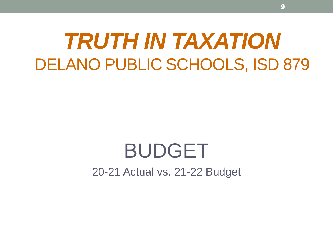# *TRUTH IN TAXATION* DELANO PUBLIC SCHOOLS, ISD 879

# BUDGET

20-21 Actual vs. 21-22 Budget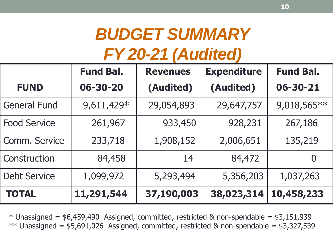## *BUDGET SUMMARY FY 20-21 (Audited)*

|                     | <b>Fund Bal.</b> | <b>Revenues</b> | <b>Expenditure</b> | <b>Fund Bal.</b> |
|---------------------|------------------|-----------------|--------------------|------------------|
| <b>FUND</b>         | 06-30-20         | (Audited)       | (Audited)          | $06 - 30 - 21$   |
| <b>General Fund</b> | 9,611,429*       | 29,054,893      | 29,647,757         | 9,018,565**      |
| <b>Food Service</b> | 261,967          | 933,450         | 928,231            | 267,186          |
| Comm. Service       | 233,718          | 1,908,152       | 2,006,651          | 135,219          |
| Construction        | 84,458           | 14              | 84,472             | $\overline{0}$   |
| <b>Debt Service</b> | 1,099,972        | 5,293,494       | 5,356,203          | 1,037,263        |
| <b>TOTAL</b>        | 11,291,544       | 37,190,003      | 38,023,314         | 10,458,233       |

 $*$  Unassigned = \$6,459,490 Assigned, committed, restricted & non-spendable = \$3,151,939 \*\* Unassigned =  $$5,691,026$  Assigned, committed, restricted & non-spendable =  $$3,327,539$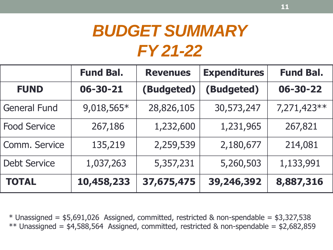## *BUDGET SUMMARY FY 21-22*

|                     | <b>Fund Bal.</b> | <b>Revenues</b> | <b>Expenditures</b> | <b>Fund Bal.</b> |
|---------------------|------------------|-----------------|---------------------|------------------|
| <b>FUND</b>         | 06-30-21         | (Budgeted)      | (Budgeted)          | $06 - 30 - 22$   |
| <b>General Fund</b> | 9,018,565*       | 28,826,105      | 30,573,247          | 7,271,423**      |
| <b>Food Service</b> | 267,186          | 1,232,600       | 1,231,965           | 267,821          |
| Comm. Service       | 135,219          | 2,259,539       | 2,180,677           | 214,081          |
| <b>Debt Service</b> | 1,037,263        | 5,357,231       | 5,260,503           | 1,133,991        |
| <b>TOTAL</b>        | 10,458,233       | 37,675,475      | 39,246,392          | 8,887,316        |

 $*$  Unassigned =  $$5,691,026$  Assigned, committed, restricted & non-spendable =  $$3,327,538$ \*\* Unassigned =  $$4,588,564$  Assigned, committed, restricted & non-spendable =  $$2,682,859$